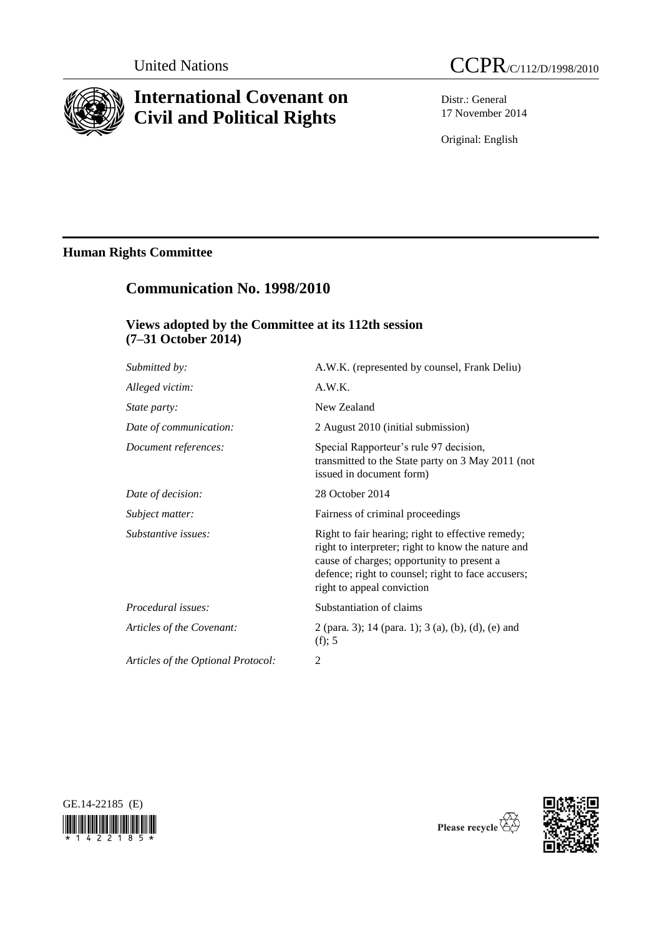

# **International Covenant on Civil and Political Rights**



Distr.: General 17 November 2014

Original: English

# **Human Rights Committee**

# **Communication No. 1998/2010**

# **Views adopted by the Committee at its 112th session (7–31 October 2014)**

| Submitted by:                      | A.W.K. (represented by counsel, Frank Deliu)                                                                                                                                                                                              |
|------------------------------------|-------------------------------------------------------------------------------------------------------------------------------------------------------------------------------------------------------------------------------------------|
| Alleged victim:                    | A.W.K.                                                                                                                                                                                                                                    |
| <i>State party:</i>                | New Zealand                                                                                                                                                                                                                               |
| Date of communication:             | 2 August 2010 (initial submission)                                                                                                                                                                                                        |
| Document references:               | Special Rapporteur's rule 97 decision,<br>transmitted to the State party on 3 May 2011 (not<br>issued in document form)                                                                                                                   |
| Date of decision:                  | 28 October 2014                                                                                                                                                                                                                           |
| Subject matter:                    | Fairness of criminal proceedings                                                                                                                                                                                                          |
| Substantive issues:                | Right to fair hearing; right to effective remedy;<br>right to interpreter; right to know the nature and<br>cause of charges; opportunity to present a<br>defence; right to counsel; right to face accusers;<br>right to appeal conviction |
| Procedural issues:                 | Substantiation of claims                                                                                                                                                                                                                  |
| Articles of the Covenant:          | 2 (para. 3); 14 (para. 1); 3 (a), (b), (d), (e) and<br>(f); 5                                                                                                                                                                             |
| Articles of the Optional Protocol: | 2                                                                                                                                                                                                                                         |
|                                    |                                                                                                                                                                                                                                           |





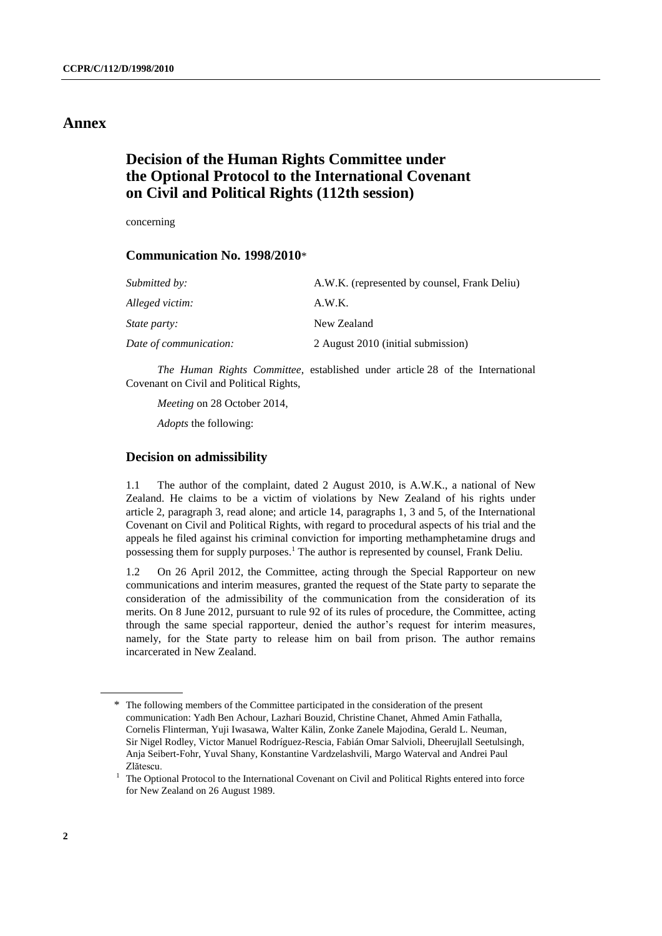## **Annex**

# **Decision of the Human Rights Committee under the Optional Protocol to the International Covenant on Civil and Political Rights (112th session)**

concerning

## **Communication No. 1998/2010**\*

| <i>Submitted by:</i>   | A.W.K. (represented by counsel, Frank Deliu) |
|------------------------|----------------------------------------------|
| Alleged victim:        | A.W.K.                                       |
| <i>State party:</i>    | New Zealand                                  |
| Date of communication: | 2 August 2010 (initial submission)           |

*The Human Rights Committee*, established under article 28 of the International Covenant on Civil and Political Rights,

*Meeting* on 28 October 2014,

*Adopts* the following:

## **Decision on admissibility**

1.1 The author of the complaint, dated 2 August 2010, is A.W.K., a national of New Zealand. He claims to be a victim of violations by New Zealand of his rights under article 2, paragraph 3, read alone; and article 14, paragraphs 1, 3 and 5, of the International Covenant on Civil and Political Rights, with regard to procedural aspects of his trial and the appeals he filed against his criminal conviction for importing methamphetamine drugs and possessing them for supply purposes.<sup>1</sup> The author is represented by counsel, Frank Deliu.

1.2 On 26 April 2012, the Committee, acting through the Special Rapporteur on new communications and interim measures, granted the request of the State party to separate the consideration of the admissibility of the communication from the consideration of its merits. On 8 June 2012, pursuant to rule 92 of its rules of procedure, the Committee, acting through the same special rapporteur, denied the author's request for interim measures, namely, for the State party to release him on bail from prison. The author remains incarcerated in New Zealand.

<sup>\*</sup> The following members of the Committee participated in the consideration of the present communication: Yadh Ben Achour, Lazhari Bouzid, Christine Chanet, Ahmed Amin Fathalla, Cornelis Flinterman, Yuji Iwasawa, Walter Kälin, Zonke Zanele Majodina, Gerald L. Neuman, Sir Nigel Rodley, Victor Manuel Rodríguez-Rescia, Fabián Omar Salvioli, Dheerujlall Seetulsingh, Anja Seibert-Fohr, Yuval Shany, Konstantine Vardzelashvili, Margo Waterval and Andrei Paul Zlătescu.

<sup>&</sup>lt;sup>1</sup> The Optional Protocol to the International Covenant on Civil and Political Rights entered into force for New Zealand on 26 August 1989.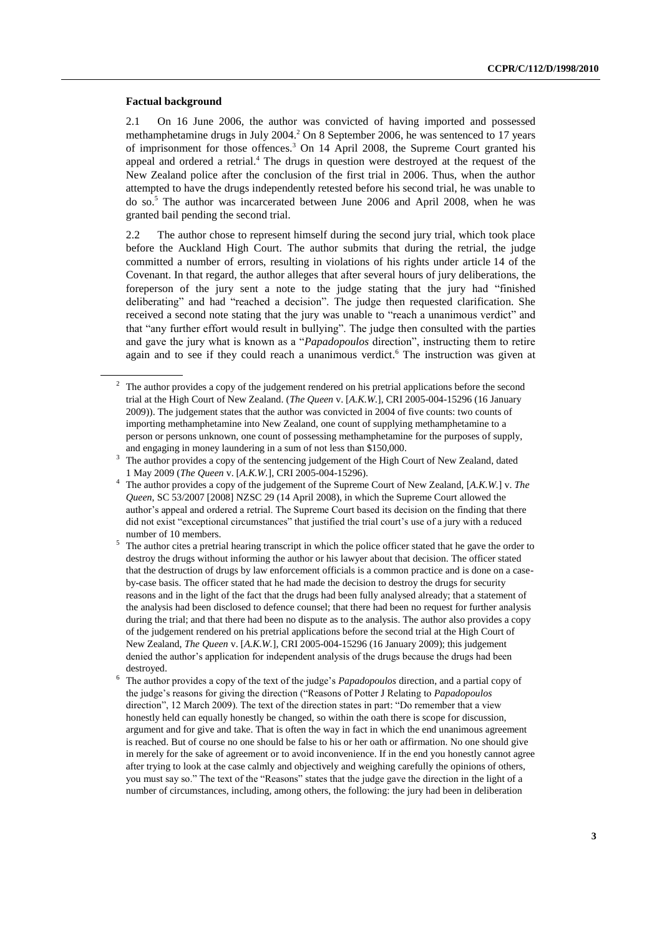#### **Factual background**

2.1 On 16 June 2006, the author was convicted of having imported and possessed methamphetamine drugs in July 2004.<sup>2</sup> On 8 September 2006, he was sentenced to 17 years of imprisonment for those offences.<sup>3</sup> On 14 April 2008, the Supreme Court granted his appeal and ordered a retrial.<sup>4</sup> The drugs in question were destroyed at the request of the New Zealand police after the conclusion of the first trial in 2006. Thus, when the author attempted to have the drugs independently retested before his second trial, he was unable to do so.<sup>5</sup> The author was incarcerated between June 2006 and April 2008, when he was granted bail pending the second trial.

2.2 The author chose to represent himself during the second jury trial, which took place before the Auckland High Court. The author submits that during the retrial, the judge committed a number of errors, resulting in violations of his rights under article 14 of the Covenant. In that regard, the author alleges that after several hours of jury deliberations, the foreperson of the jury sent a note to the judge stating that the jury had "finished deliberating" and had "reached a decision". The judge then requested clarification. She received a second note stating that the jury was unable to "reach a unanimous verdict" and that "any further effort would result in bullying". The judge then consulted with the parties and gave the jury what is known as a "*Papadopoulos* direction", instructing them to retire again and to see if they could reach a unanimous verdict. <sup>6</sup> The instruction was given at

<sup>&</sup>lt;sup>2</sup> The author provides a copy of the judgement rendered on his pretrial applications before the second trial at the High Court of New Zealand. (*The Queen* v. [*A.K.W.*], CRI 2005-004-15296 (16 January 2009)). The judgement states that the author was convicted in 2004 of five counts: two counts of importing methamphetamine into New Zealand, one count of supplying methamphetamine to a person or persons unknown, one count of possessing methamphetamine for the purposes of supply, and engaging in money laundering in a sum of not less than \$150,000.

<sup>&</sup>lt;sup>3</sup> The author provides a copy of the sentencing judgement of the High Court of New Zealand, dated 1 May 2009 (*The Queen* v. [*A.K.W.*], CRI 2005-004-15296).

<sup>4</sup> The author provides a copy of the judgement of the Supreme Court of New Zealand, [*A.K.W.*] v. *The Queen*, SC 53/2007 [2008] NZSC 29 (14 April 2008), in which the Supreme Court allowed the author's appeal and ordered a retrial. The Supreme Court based its decision on the finding that there did not exist "exceptional circumstances" that justified the trial court's use of a jury with a reduced number of 10 members.

The author cites a pretrial hearing transcript in which the police officer stated that he gave the order to destroy the drugs without informing the author or his lawyer about that decision. The officer stated that the destruction of drugs by law enforcement officials is a common practice and is done on a caseby-case basis. The officer stated that he had made the decision to destroy the drugs for security reasons and in the light of the fact that the drugs had been fully analysed already; that a statement of the analysis had been disclosed to defence counsel; that there had been no request for further analysis during the trial; and that there had been no dispute as to the analysis. The author also provides a copy of the judgement rendered on his pretrial applications before the second trial at the High Court of New Zealand, *The Queen* v. [*A.K.W.*], CRI 2005-004-15296 (16 January 2009); this judgement denied the author's application for independent analysis of the drugs because the drugs had been destroyed.

<sup>6</sup> The author provides a copy of the text of the judge's *Papadopoulos* direction, and a partial copy of the judge's reasons for giving the direction ("Reasons of Potter J Relating to *Papadopoulos* direction", 12 March 2009). The text of the direction states in part: "Do remember that a view honestly held can equally honestly be changed, so within the oath there is scope for discussion, argument and for give and take. That is often the way in fact in which the end unanimous agreement is reached. But of course no one should be false to his or her oath or affirmation. No one should give in merely for the sake of agreement or to avoid inconvenience. If in the end you honestly cannot agree after trying to look at the case calmly and objectively and weighing carefully the opinions of others, you must say so." The text of the "Reasons" states that the judge gave the direction in the light of a number of circumstances, including, among others, the following: the jury had been in deliberation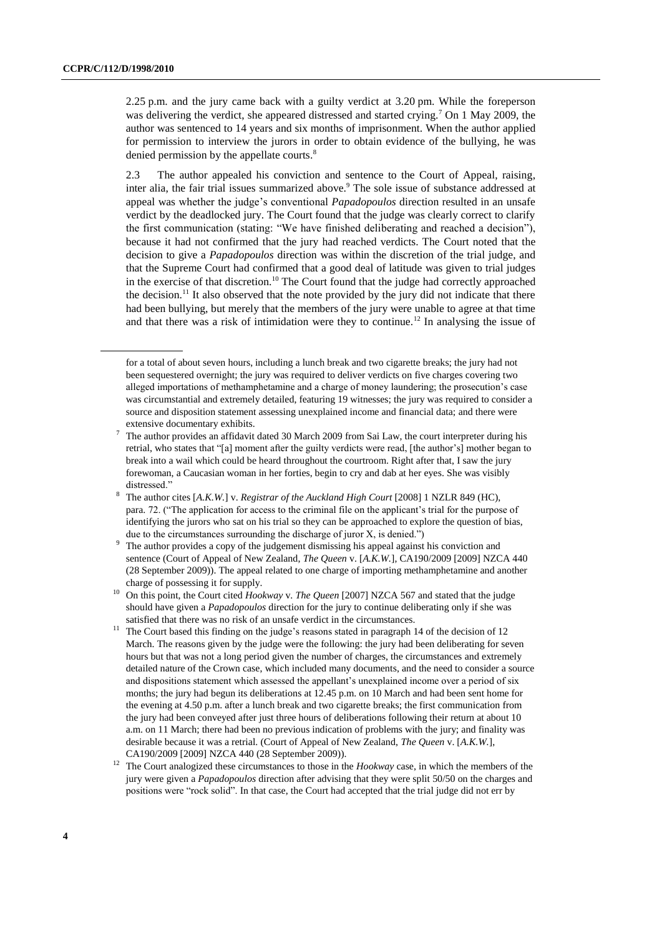2.25 p.m. and the jury came back with a guilty verdict at 3.20 pm. While the foreperson was delivering the verdict, she appeared distressed and started crying.<sup>7</sup> On 1 May 2009, the author was sentenced to 14 years and six months of imprisonment. When the author applied for permission to interview the jurors in order to obtain evidence of the bullying, he was denied permission by the appellate courts.<sup>8</sup>

2.3 The author appealed his conviction and sentence to the Court of Appeal, raising, inter alia, the fair trial issues summarized above.<sup>9</sup> The sole issue of substance addressed at appeal was whether the judge's conventional *Papadopoulos* direction resulted in an unsafe verdict by the deadlocked jury. The Court found that the judge was clearly correct to clarify the first communication (stating: "We have finished deliberating and reached a decision"), because it had not confirmed that the jury had reached verdicts. The Court noted that the decision to give a *Papadopoulos* direction was within the discretion of the trial judge, and that the Supreme Court had confirmed that a good deal of latitude was given to trial judges in the exercise of that discretion.<sup>10</sup> The Court found that the judge had correctly approached the decision.<sup>11</sup> It also observed that the note provided by the jury did not indicate that there had been bullying, but merely that the members of the jury were unable to agree at that time and that there was a risk of intimidation were they to continue.<sup>12</sup> In analysing the issue of

for a total of about seven hours, including a lunch break and two cigarette breaks; the jury had not been sequestered overnight; the jury was required to deliver verdicts on five charges covering two alleged importations of methamphetamine and a charge of money laundering; the prosecution's case was circumstantial and extremely detailed, featuring 19 witnesses; the jury was required to consider a source and disposition statement assessing unexplained income and financial data; and there were extensive documentary exhibits.

<sup>7</sup> The author provides an affidavit dated 30 March 2009 from Sai Law, the court interpreter during his retrial, who states that "[a] moment after the guilty verdicts were read, [the author's] mother began to break into a wail which could be heard throughout the courtroom. Right after that, I saw the jury forewoman, a Caucasian woman in her forties, begin to cry and dab at her eyes. She was visibly distressed."

<sup>8</sup> The author cites [*A.K.W.*] v. *Registrar of the Auckland High Court* [2008] 1 NZLR 849 (HC), para. 72. ("The application for access to the criminal file on the applicant's trial for the purpose of identifying the jurors who sat on his trial so they can be approached to explore the question of bias, due to the circumstances surrounding the discharge of juror X, is denied.")

The author provides a copy of the judgement dismissing his appeal against his conviction and sentence (Court of Appeal of New Zealand, *The Queen* v. [*A.K.W.*], CA190/2009 [2009] NZCA 440 (28 September 2009)). The appeal related to one charge of importing methamphetamine and another charge of possessing it for supply.

<sup>10</sup> On this point, the Court cited *Hookway* v. *The Queen* [2007] NZCA 567 and stated that the judge should have given a *Papadopoulos* direction for the jury to continue deliberating only if she was satisfied that there was no risk of an unsafe verdict in the circumstances.

<sup>&</sup>lt;sup>11</sup> The Court based this finding on the judge's reasons stated in paragraph 14 of the decision of 12 March. The reasons given by the judge were the following: the jury had been deliberating for seven hours but that was not a long period given the number of charges, the circumstances and extremely detailed nature of the Crown case, which included many documents, and the need to consider a source and dispositions statement which assessed the appellant's unexplained income over a period of six months; the jury had begun its deliberations at 12.45 p.m. on 10 March and had been sent home for the evening at 4.50 p.m. after a lunch break and two cigarette breaks; the first communication from the jury had been conveyed after just three hours of deliberations following their return at about 10 a.m. on 11 March; there had been no previous indication of problems with the jury; and finality was desirable because it was a retrial. (Court of Appeal of New Zealand, *The Queen* v. [*A.K.W.*], CA190/2009 [2009] NZCA 440 (28 September 2009)).

<sup>&</sup>lt;sup>12</sup> The Court analogized these circumstances to those in the *Hookway* case, in which the members of the jury were given a *Papadopoulos* direction after advising that they were split 50/50 on the charges and positions were "rock solid". In that case, the Court had accepted that the trial judge did not err by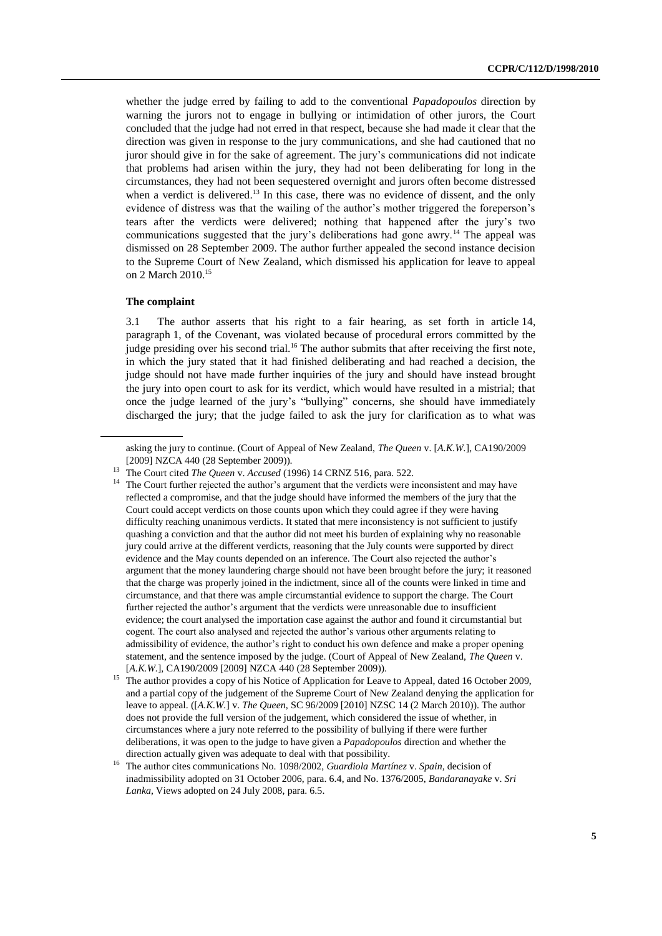whether the judge erred by failing to add to the conventional *Papadopoulos* direction by warning the jurors not to engage in bullying or intimidation of other jurors, the Court concluded that the judge had not erred in that respect, because she had made it clear that the direction was given in response to the jury communications, and she had cautioned that no juror should give in for the sake of agreement. The jury's communications did not indicate that problems had arisen within the jury, they had not been deliberating for long in the circumstances, they had not been sequestered overnight and jurors often become distressed when a verdict is delivered.<sup>13</sup> In this case, there was no evidence of dissent, and the only evidence of distress was that the wailing of the author's mother triggered the foreperson's tears after the verdicts were delivered; nothing that happened after the jury's two communications suggested that the jury's deliberations had gone awry.<sup>14</sup> The appeal was dismissed on 28 September 2009. The author further appealed the second instance decision to the Supreme Court of New Zealand, which dismissed his application for leave to appeal on 2 March 2010.<sup>15</sup>

#### **The complaint**

3.1 The author asserts that his right to a fair hearing, as set forth in article 14, paragraph 1, of the Covenant, was violated because of procedural errors committed by the judge presiding over his second trial.<sup>16</sup> The author submits that after receiving the first note, in which the jury stated that it had finished deliberating and had reached a decision, the judge should not have made further inquiries of the jury and should have instead brought the jury into open court to ask for its verdict, which would have resulted in a mistrial; that once the judge learned of the jury's "bullying" concerns, she should have immediately discharged the jury; that the judge failed to ask the jury for clarification as to what was

asking the jury to continue. (Court of Appeal of New Zealand, *The Queen* v. [*A.K.W.*], CA190/2009 [2009] NZCA 440 (28 September 2009)).

<sup>13</sup> The Court cited *The Queen* v. *Accused* (1996) 14 CRNZ 516, para. 522.

<sup>&</sup>lt;sup>14</sup> The Court further rejected the author's argument that the verdicts were inconsistent and may have reflected a compromise, and that the judge should have informed the members of the jury that the Court could accept verdicts on those counts upon which they could agree if they were having difficulty reaching unanimous verdicts. It stated that mere inconsistency is not sufficient to justify quashing a conviction and that the author did not meet his burden of explaining why no reasonable jury could arrive at the different verdicts, reasoning that the July counts were supported by direct evidence and the May counts depended on an inference. The Court also rejected the author's argument that the money laundering charge should not have been brought before the jury; it reasoned that the charge was properly joined in the indictment, since all of the counts were linked in time and circumstance, and that there was ample circumstantial evidence to support the charge. The Court further rejected the author's argument that the verdicts were unreasonable due to insufficient evidence; the court analysed the importation case against the author and found it circumstantial but cogent. The court also analysed and rejected the author's various other arguments relating to admissibility of evidence, the author's right to conduct his own defence and make a proper opening statement, and the sentence imposed by the judge. (Court of Appeal of New Zealand, *The Queen* v. [*A.K.W.*], CA190/2009 [2009] NZCA 440 (28 September 2009)).

<sup>&</sup>lt;sup>15</sup> The author provides a copy of his Notice of Application for Leave to Appeal, dated 16 October 2009, and a partial copy of the judgement of the Supreme Court of New Zealand denying the application for leave to appeal. ([*A.K.W.*] v. *The Queen*, SC 96/2009 [2010] NZSC 14 (2 March 2010)). The author does not provide the full version of the judgement, which considered the issue of whether, in circumstances where a jury note referred to the possibility of bullying if there were further deliberations, it was open to the judge to have given a *Papadopoulos* direction and whether the direction actually given was adequate to deal with that possibility.

<sup>16</sup> The author cites communications No. 1098/2002, *Guardiola Martínez* v. *Spain*, decision of inadmissibility adopted on 31 October 2006, para. 6.4, and No. 1376/2005, *Bandaranayake* v. *Sri Lanka*, Views adopted on 24 July 2008, para. 6.5.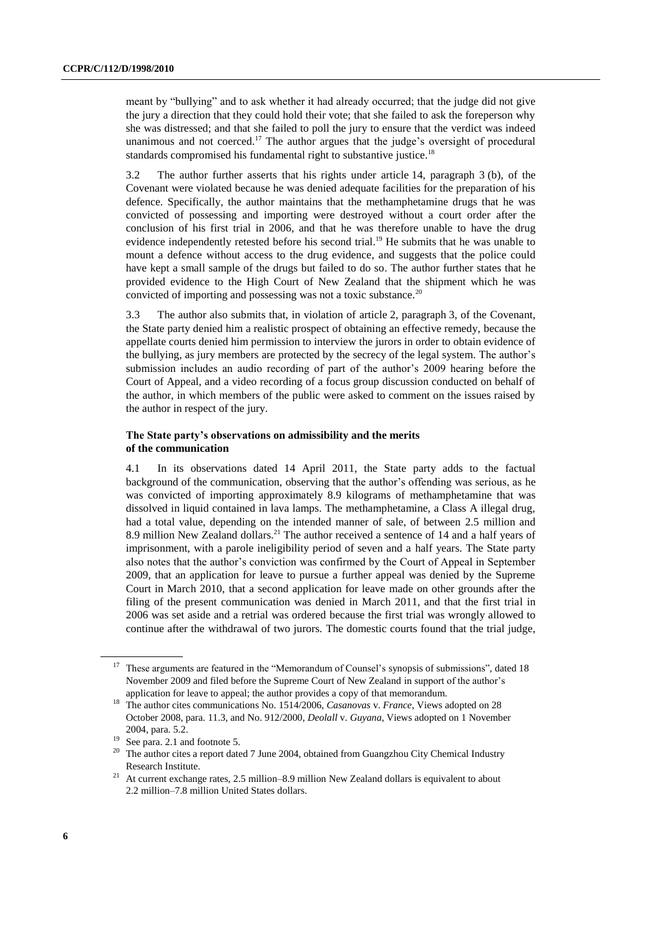meant by "bullying" and to ask whether it had already occurred; that the judge did not give the jury a direction that they could hold their vote; that she failed to ask the foreperson why she was distressed; and that she failed to poll the jury to ensure that the verdict was indeed unanimous and not coerced.<sup>17</sup> The author argues that the judge's oversight of procedural standards compromised his fundamental right to substantive justice.<sup>18</sup>

3.2 The author further asserts that his rights under article 14, paragraph 3 (b), of the Covenant were violated because he was denied adequate facilities for the preparation of his defence. Specifically, the author maintains that the methamphetamine drugs that he was convicted of possessing and importing were destroyed without a court order after the conclusion of his first trial in 2006, and that he was therefore unable to have the drug evidence independently retested before his second trial.<sup>19</sup> He submits that he was unable to mount a defence without access to the drug evidence, and suggests that the police could have kept a small sample of the drugs but failed to do so. The author further states that he provided evidence to the High Court of New Zealand that the shipment which he was convicted of importing and possessing was not a toxic substance.<sup>20</sup>

3.3 The author also submits that, in violation of article 2, paragraph 3, of the Covenant, the State party denied him a realistic prospect of obtaining an effective remedy, because the appellate courts denied him permission to interview the jurors in order to obtain evidence of the bullying, as jury members are protected by the secrecy of the legal system. The author's submission includes an audio recording of part of the author's 2009 hearing before the Court of Appeal, and a video recording of a focus group discussion conducted on behalf of the author, in which members of the public were asked to comment on the issues raised by the author in respect of the jury.

### **The State party's observations on admissibility and the merits of the communication**

4.1 In its observations dated 14 April 2011, the State party adds to the factual background of the communication, observing that the author's offending was serious, as he was convicted of importing approximately 8.9 kilograms of methamphetamine that was dissolved in liquid contained in lava lamps. The methamphetamine, a Class A illegal drug, had a total value, depending on the intended manner of sale, of between 2.5 million and 8.9 million New Zealand dollars.<sup>21</sup> The author received a sentence of 14 and a half years of imprisonment, with a parole ineligibility period of seven and a half years. The State party also notes that the author's conviction was confirmed by the Court of Appeal in September 2009, that an application for leave to pursue a further appeal was denied by the Supreme Court in March 2010, that a second application for leave made on other grounds after the filing of the present communication was denied in March 2011, and that the first trial in 2006 was set aside and a retrial was ordered because the first trial was wrongly allowed to continue after the withdrawal of two jurors. The domestic courts found that the trial judge,

<sup>&</sup>lt;sup>17</sup> These arguments are featured in the "Memorandum of Counsel's synopsis of submissions", dated 18 November 2009 and filed before the Supreme Court of New Zealand in support of the author's application for leave to appeal; the author provides a copy of that memorandum.

<sup>18</sup> The author cites communications No. 1514/2006, *Casanovas* v. *France*, Views adopted on 28 October 2008, para. 11.3, and No. 912/2000, *Deolall* v. *Guyana*, Views adopted on 1 November 2004, para. 5.2.

<sup>&</sup>lt;sup>19</sup> See para. 2.1 and footnote 5.<br> $\frac{20}{2}$  The outbor gites a report date

The author cites a report dated 7 June 2004, obtained from Guangzhou City Chemical Industry Research Institute.

<sup>&</sup>lt;sup>21</sup> At current exchange rates, 2.5 million–8.9 million New Zealand dollars is equivalent to about 2.2 million–7.8 million United States dollars.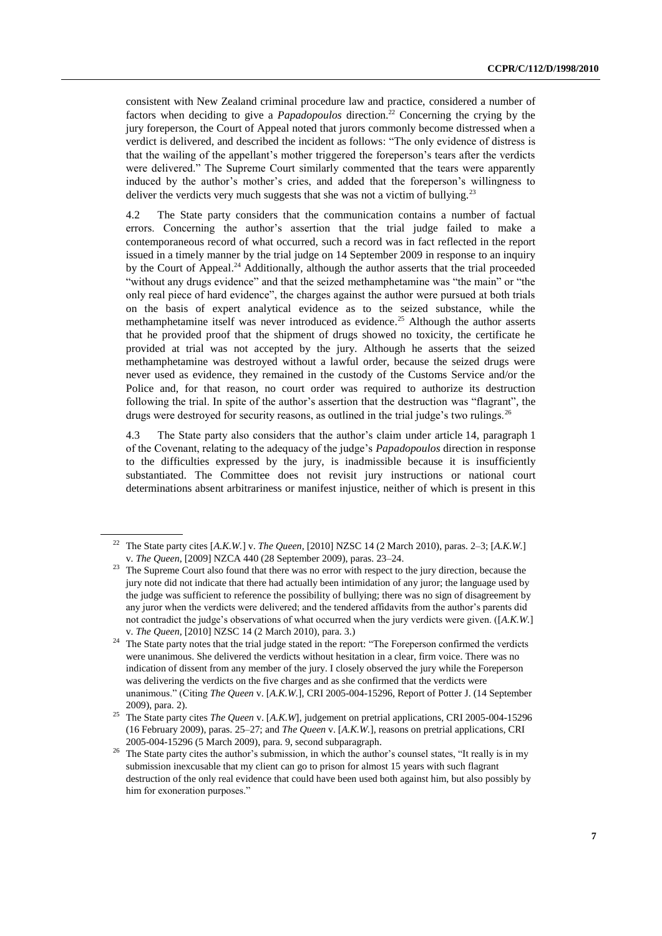consistent with New Zealand criminal procedure law and practice, considered a number of factors when deciding to give a *Papadopoulos* direction.<sup>22</sup> Concerning the crying by the jury foreperson, the Court of Appeal noted that jurors commonly become distressed when a verdict is delivered, and described the incident as follows: "The only evidence of distress is that the wailing of the appellant's mother triggered the foreperson's tears after the verdicts were delivered." The Supreme Court similarly commented that the tears were apparently induced by the author's mother's cries, and added that the foreperson's willingness to deliver the verdicts very much suggests that she was not a victim of bullying.<sup>23</sup>

4.2 The State party considers that the communication contains a number of factual errors. Concerning the author's assertion that the trial judge failed to make a contemporaneous record of what occurred, such a record was in fact reflected in the report issued in a timely manner by the trial judge on 14 September 2009 in response to an inquiry by the Court of Appeal.<sup>24</sup> Additionally, although the author asserts that the trial proceeded "without any drugs evidence" and that the seized methamphetamine was "the main" or "the only real piece of hard evidence", the charges against the author were pursued at both trials on the basis of expert analytical evidence as to the seized substance, while the methamphetamine itself was never introduced as evidence.<sup>25</sup> Although the author asserts that he provided proof that the shipment of drugs showed no toxicity, the certificate he provided at trial was not accepted by the jury. Although he asserts that the seized methamphetamine was destroyed without a lawful order, because the seized drugs were never used as evidence, they remained in the custody of the Customs Service and/or the Police and, for that reason, no court order was required to authorize its destruction following the trial. In spite of the author's assertion that the destruction was "flagrant", the drugs were destroyed for security reasons, as outlined in the trial judge's two rulings.<sup>26</sup>

4.3 The State party also considers that the author's claim under article 14, paragraph 1 of the Covenant, relating to the adequacy of the judge's *Papadopoulos* direction in response to the difficulties expressed by the jury, is inadmissible because it is insufficiently substantiated. The Committee does not revisit jury instructions or national court determinations absent arbitrariness or manifest injustice, neither of which is present in this

<sup>22</sup> The State party cites [*A.K.W.*] v. *The Queen,* [2010] NZSC 14 (2 March 2010), paras. 2–3; [*A.K.W.*] v. *The Queen*, [2009] NZCA 440 (28 September 2009), paras. 23–24.

<sup>&</sup>lt;sup>23</sup> The Supreme Court also found that there was no error with respect to the jury direction, because the jury note did not indicate that there had actually been intimidation of any juror; the language used by the judge was sufficient to reference the possibility of bullying; there was no sign of disagreement by any juror when the verdicts were delivered; and the tendered affidavits from the author's parents did not contradict the judge's observations of what occurred when the jury verdicts were given. ([*A.K.W.*] v. *The Queen,* [2010] NZSC 14 (2 March 2010), para. 3.)

<sup>&</sup>lt;sup>24</sup> The State party notes that the trial judge stated in the report: "The Foreperson confirmed the verdicts were unanimous. She delivered the verdicts without hesitation in a clear, firm voice. There was no indication of dissent from any member of the jury. I closely observed the jury while the Foreperson was delivering the verdicts on the five charges and as she confirmed that the verdicts were unanimous." (Citing *The Queen* v. [*A.K.W.*], CRI 2005-004-15296, Report of Potter J. (14 September 2009), para. 2).

<sup>25</sup> The State party cites *The Queen* v. [*A.K.W*], judgement on pretrial applications, CRI 2005-004-15296 (16 February 2009), paras. 25–27; and *The Queen* v. [*A.K.W.*], reasons on pretrial applications, CRI 2005-004-15296 (5 March 2009), para. 9, second subparagraph.

<sup>&</sup>lt;sup>26</sup> The State party cites the author's submission, in which the author's counsel states, "It really is in my submission inexcusable that my client can go to prison for almost 15 years with such flagrant destruction of the only real evidence that could have been used both against him, but also possibly by him for exoneration purposes."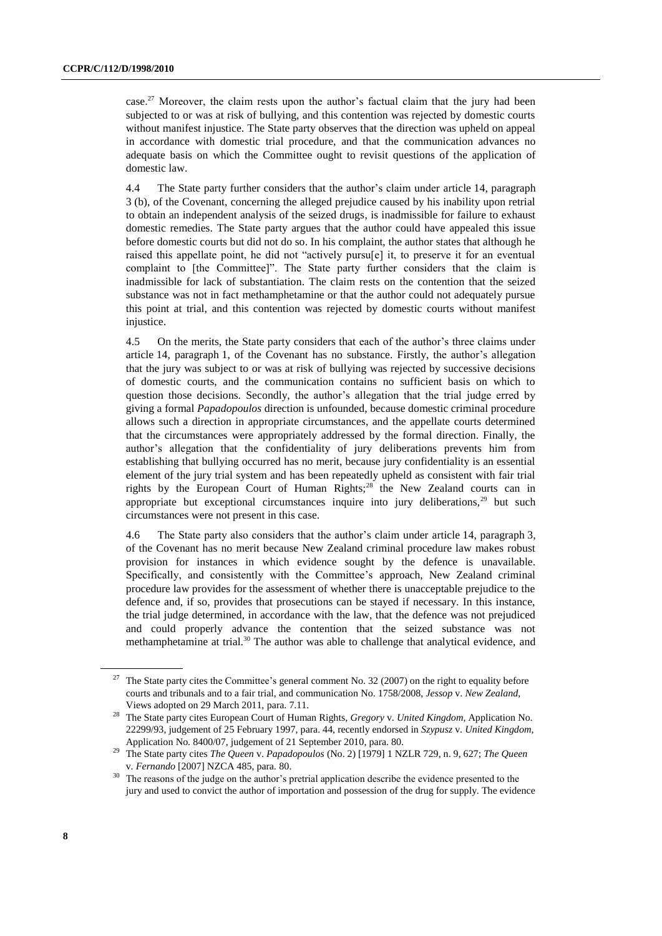case.<sup>27</sup> Moreover, the claim rests upon the author's factual claim that the jury had been subjected to or was at risk of bullying, and this contention was rejected by domestic courts without manifest injustice. The State party observes that the direction was upheld on appeal in accordance with domestic trial procedure, and that the communication advances no adequate basis on which the Committee ought to revisit questions of the application of domestic law.

4.4 The State party further considers that the author's claim under article 14, paragraph 3 (b), of the Covenant, concerning the alleged prejudice caused by his inability upon retrial to obtain an independent analysis of the seized drugs, is inadmissible for failure to exhaust domestic remedies. The State party argues that the author could have appealed this issue before domestic courts but did not do so. In his complaint, the author states that although he raised this appellate point, he did not "actively pursu[e] it, to preserve it for an eventual complaint to [the Committee]". The State party further considers that the claim is inadmissible for lack of substantiation. The claim rests on the contention that the seized substance was not in fact methamphetamine or that the author could not adequately pursue this point at trial, and this contention was rejected by domestic courts without manifest injustice.

4.5 On the merits, the State party considers that each of the author's three claims under article 14, paragraph 1, of the Covenant has no substance. Firstly, the author's allegation that the jury was subject to or was at risk of bullying was rejected by successive decisions of domestic courts, and the communication contains no sufficient basis on which to question those decisions. Secondly, the author's allegation that the trial judge erred by giving a formal *Papadopoulos* direction is unfounded, because domestic criminal procedure allows such a direction in appropriate circumstances, and the appellate courts determined that the circumstances were appropriately addressed by the formal direction. Finally, the author's allegation that the confidentiality of jury deliberations prevents him from establishing that bullying occurred has no merit, because jury confidentiality is an essential element of the jury trial system and has been repeatedly upheld as consistent with fair trial rights by the European Court of Human Rights;<sup>28</sup> the New Zealand courts can in appropriate but exceptional circumstances inquire into jury deliberations, $29$  but such circumstances were not present in this case.

4.6 The State party also considers that the author's claim under article 14, paragraph 3, of the Covenant has no merit because New Zealand criminal procedure law makes robust provision for instances in which evidence sought by the defence is unavailable. Specifically, and consistently with the Committee's approach, New Zealand criminal procedure law provides for the assessment of whether there is unacceptable prejudice to the defence and, if so, provides that prosecutions can be stayed if necessary. In this instance, the trial judge determined, in accordance with the law, that the defence was not prejudiced and could properly advance the contention that the seized substance was not methamphetamine at trial.<sup>30</sup> The author was able to challenge that analytical evidence, and

<sup>&</sup>lt;sup>27</sup> The State party cites the Committee's general comment No. 32 (2007) on the right to equality before courts and tribunals and to a fair trial, and communication No. 1758/2008, *Jessop* v. *New Zealand*, Views adopted on 29 March 2011, para. 7.11.

<sup>28</sup> The State party cites European Court of Human Rights, *Gregory* v. *United Kingdom*, Application No. 22299/93, judgement of 25 February 1997, para. 44, recently endorsed in *Szypusz* v. *United Kingdom*, Application No. 8400/07, judgement of 21 September 2010, para. 80.

<sup>29</sup> The State party cites *The Queen* v. *Papadopoulos* (No. 2) [1979] 1 NZLR 729, n. 9, 627; *The Queen*  v. *Fernando* [2007] NZCA 485, para. 80.

<sup>&</sup>lt;sup>30</sup> The reasons of the judge on the author's pretrial application describe the evidence presented to the jury and used to convict the author of importation and possession of the drug for supply. The evidence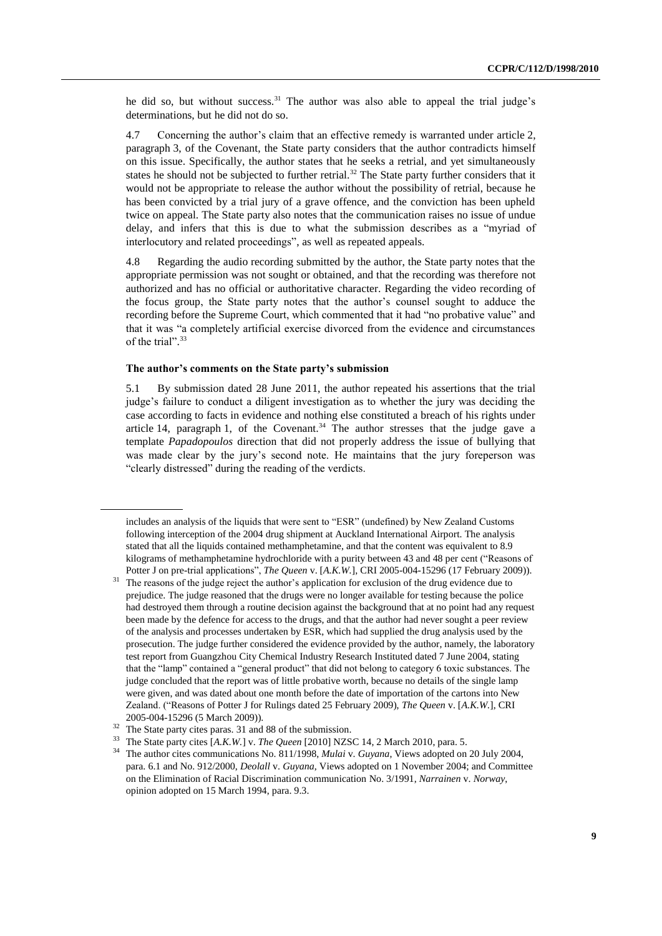he did so, but without success.<sup>31</sup> The author was also able to appeal the trial judge's determinations, but he did not do so.

4.7 Concerning the author's claim that an effective remedy is warranted under article 2, paragraph 3, of the Covenant, the State party considers that the author contradicts himself on this issue. Specifically, the author states that he seeks a retrial, and yet simultaneously states he should not be subjected to further retrial.<sup>32</sup> The State party further considers that it would not be appropriate to release the author without the possibility of retrial, because he has been convicted by a trial jury of a grave offence, and the conviction has been upheld twice on appeal. The State party also notes that the communication raises no issue of undue delay, and infers that this is due to what the submission describes as a "myriad of interlocutory and related proceedings", as well as repeated appeals.

4.8 Regarding the audio recording submitted by the author, the State party notes that the appropriate permission was not sought or obtained, and that the recording was therefore not authorized and has no official or authoritative character. Regarding the video recording of the focus group, the State party notes that the author's counsel sought to adduce the recording before the Supreme Court, which commented that it had "no probative value" and that it was "a completely artificial exercise divorced from the evidence and circumstances of the trial". 33

#### **The author's comments on the State party's submission**

5.1 By submission dated 28 June 2011, the author repeated his assertions that the trial judge's failure to conduct a diligent investigation as to whether the jury was deciding the case according to facts in evidence and nothing else constituted a breach of his rights under article 14, paragraph 1, of the Covenant.<sup>34</sup> The author stresses that the judge gave a template *Papadopoulos* direction that did not properly address the issue of bullying that was made clear by the jury's second note. He maintains that the jury foreperson was "clearly distressed" during the reading of the verdicts.

includes an analysis of the liquids that were sent to "ESR" (undefined) by New Zealand Customs following interception of the 2004 drug shipment at Auckland International Airport. The analysis stated that all the liquids contained methamphetamine, and that the content was equivalent to 8.9 kilograms of methamphetamine hydrochloride with a purity between 43 and 48 per cent ("Reasons of Potter J on pre-trial applications", *The Queen* v. [*A.K.W.*], CRI 2005-004-15296 (17 February 2009)).

<sup>&</sup>lt;sup>31</sup> The reasons of the judge reject the author's application for exclusion of the drug evidence due to prejudice. The judge reasoned that the drugs were no longer available for testing because the police had destroyed them through a routine decision against the background that at no point had any request been made by the defence for access to the drugs, and that the author had never sought a peer review of the analysis and processes undertaken by ESR, which had supplied the drug analysis used by the prosecution. The judge further considered the evidence provided by the author, namely, the laboratory test report from Guangzhou City Chemical Industry Research Instituted dated 7 June 2004, stating that the "lamp" contained a "general product" that did not belong to category 6 toxic substances. The judge concluded that the report was of little probative worth, because no details of the single lamp were given, and was dated about one month before the date of importation of the cartons into New Zealand. ("Reasons of Potter J for Rulings dated 25 February 2009), *The Queen* v. [*A.K.W.*], CRI 2005-004-15296 (5 March 2009)).

<sup>32</sup> The State party cites paras. 31 and 88 of the submission.

<sup>33</sup> The State party cites [*A.K.W.*] v. *The Queen* [2010] NZSC 14, 2 March 2010, para. 5.

<sup>34</sup> The author cites communications No. 811/1998, *Mulai* v. *Guyana*, Views adopted on 20 July 2004, para. 6.1 and No. 912/2000, *Deolall* v. *Guyana*, Views adopted on 1 November 2004; and Committee on the Elimination of Racial Discrimination communication No. 3/1991, *Narrainen* v. *Norway*, opinion adopted on 15 March 1994, para. 9.3.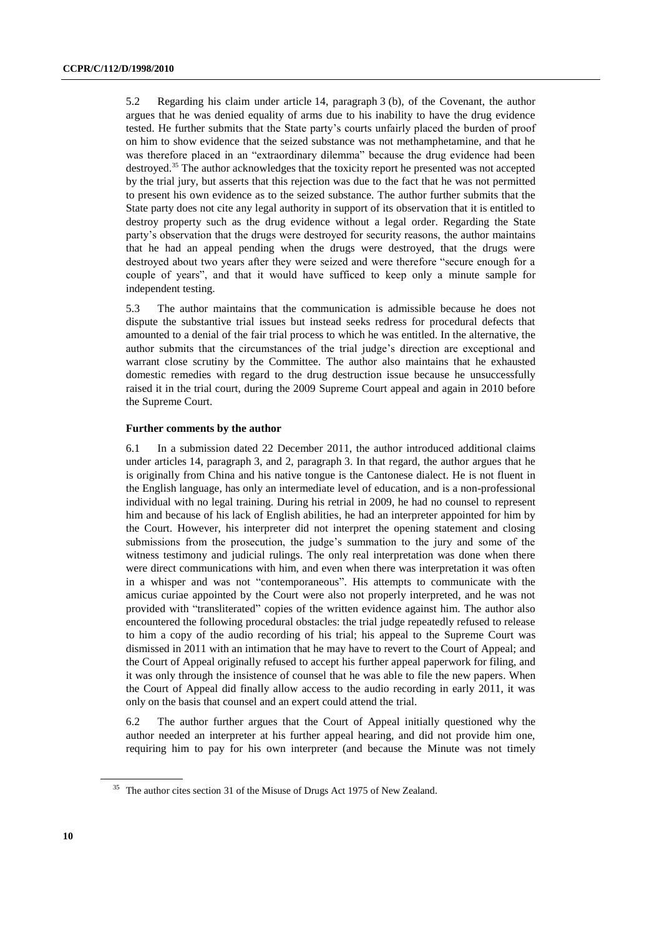5.2 Regarding his claim under article 14, paragraph 3 (b), of the Covenant, the author argues that he was denied equality of arms due to his inability to have the drug evidence tested. He further submits that the State party's courts unfairly placed the burden of proof on him to show evidence that the seized substance was not methamphetamine, and that he was therefore placed in an "extraordinary dilemma" because the drug evidence had been destroyed.<sup>35</sup> The author acknowledges that the toxicity report he presented was not accepted by the trial jury, but asserts that this rejection was due to the fact that he was not permitted to present his own evidence as to the seized substance. The author further submits that the State party does not cite any legal authority in support of its observation that it is entitled to destroy property such as the drug evidence without a legal order. Regarding the State party's observation that the drugs were destroyed for security reasons, the author maintains that he had an appeal pending when the drugs were destroyed, that the drugs were destroyed about two years after they were seized and were therefore "secure enough for a couple of years", and that it would have sufficed to keep only a minute sample for independent testing.

5.3 The author maintains that the communication is admissible because he does not dispute the substantive trial issues but instead seeks redress for procedural defects that amounted to a denial of the fair trial process to which he was entitled. In the alternative, the author submits that the circumstances of the trial judge's direction are exceptional and warrant close scrutiny by the Committee. The author also maintains that he exhausted domestic remedies with regard to the drug destruction issue because he unsuccessfully raised it in the trial court, during the 2009 Supreme Court appeal and again in 2010 before the Supreme Court.

#### **Further comments by the author**

6.1 In a submission dated 22 December 2011, the author introduced additional claims under articles 14, paragraph 3, and 2, paragraph 3. In that regard, the author argues that he is originally from China and his native tongue is the Cantonese dialect. He is not fluent in the English language, has only an intermediate level of education, and is a non-professional individual with no legal training. During his retrial in 2009, he had no counsel to represent him and because of his lack of English abilities, he had an interpreter appointed for him by the Court. However, his interpreter did not interpret the opening statement and closing submissions from the prosecution, the judge's summation to the jury and some of the witness testimony and judicial rulings. The only real interpretation was done when there were direct communications with him, and even when there was interpretation it was often in a whisper and was not "contemporaneous". His attempts to communicate with the amicus curiae appointed by the Court were also not properly interpreted, and he was not provided with "transliterated" copies of the written evidence against him. The author also encountered the following procedural obstacles: the trial judge repeatedly refused to release to him a copy of the audio recording of his trial; his appeal to the Supreme Court was dismissed in 2011 with an intimation that he may have to revert to the Court of Appeal; and the Court of Appeal originally refused to accept his further appeal paperwork for filing, and it was only through the insistence of counsel that he was able to file the new papers. When the Court of Appeal did finally allow access to the audio recording in early 2011, it was only on the basis that counsel and an expert could attend the trial.

6.2 The author further argues that the Court of Appeal initially questioned why the author needed an interpreter at his further appeal hearing, and did not provide him one, requiring him to pay for his own interpreter (and because the Minute was not timely

<sup>&</sup>lt;sup>35</sup> The author cites section 31 of the Misuse of Drugs Act 1975 of New Zealand.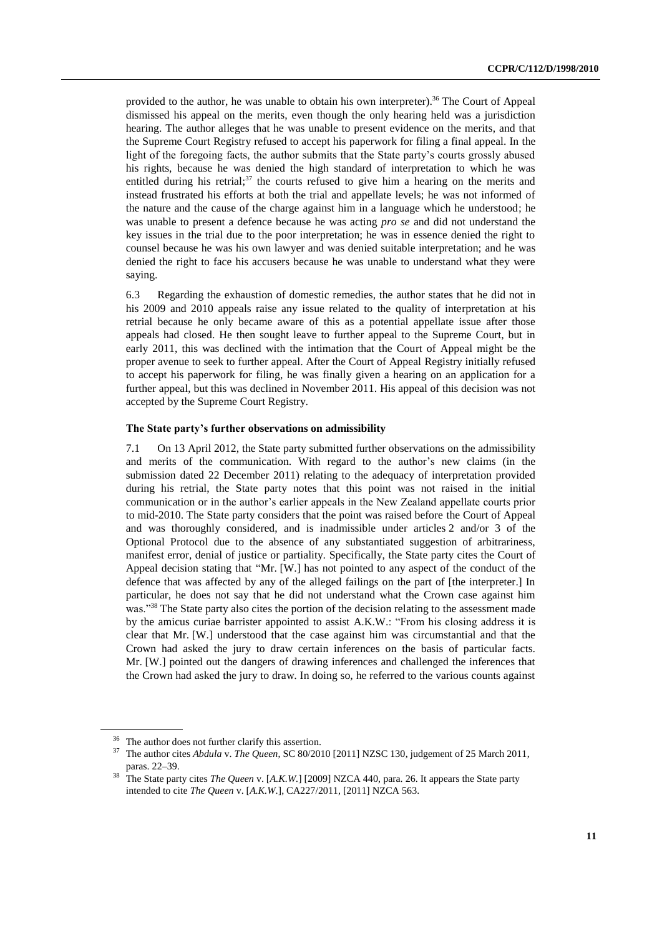provided to the author, he was unable to obtain his own interpreter).<sup>36</sup> The Court of Appeal dismissed his appeal on the merits, even though the only hearing held was a jurisdiction hearing. The author alleges that he was unable to present evidence on the merits, and that the Supreme Court Registry refused to accept his paperwork for filing a final appeal. In the light of the foregoing facts, the author submits that the State party's courts grossly abused his rights, because he was denied the high standard of interpretation to which he was entitled during his retrial; $37$  the courts refused to give him a hearing on the merits and instead frustrated his efforts at both the trial and appellate levels; he was not informed of the nature and the cause of the charge against him in a language which he understood; he was unable to present a defence because he was acting *pro se* and did not understand the key issues in the trial due to the poor interpretation; he was in essence denied the right to counsel because he was his own lawyer and was denied suitable interpretation; and he was denied the right to face his accusers because he was unable to understand what they were saying.

6.3 Regarding the exhaustion of domestic remedies, the author states that he did not in his 2009 and 2010 appeals raise any issue related to the quality of interpretation at his retrial because he only became aware of this as a potential appellate issue after those appeals had closed. He then sought leave to further appeal to the Supreme Court, but in early 2011, this was declined with the intimation that the Court of Appeal might be the proper avenue to seek to further appeal. After the Court of Appeal Registry initially refused to accept his paperwork for filing, he was finally given a hearing on an application for a further appeal, but this was declined in November 2011. His appeal of this decision was not accepted by the Supreme Court Registry.

#### **The State party's further observations on admissibility**

7.1 On 13 April 2012, the State party submitted further observations on the admissibility and merits of the communication. With regard to the author's new claims (in the submission dated 22 December 2011) relating to the adequacy of interpretation provided during his retrial, the State party notes that this point was not raised in the initial communication or in the author's earlier appeals in the New Zealand appellate courts prior to mid-2010. The State party considers that the point was raised before the Court of Appeal and was thoroughly considered, and is inadmissible under articles 2 and/or 3 of the Optional Protocol due to the absence of any substantiated suggestion of arbitrariness, manifest error, denial of justice or partiality. Specifically, the State party cites the Court of Appeal decision stating that "Mr. [W.] has not pointed to any aspect of the conduct of the defence that was affected by any of the alleged failings on the part of [the interpreter.] In particular, he does not say that he did not understand what the Crown case against him was."<sup>38</sup> The State party also cites the portion of the decision relating to the assessment made by the amicus curiae barrister appointed to assist A.K.W.: "From his closing address it is clear that Mr. [W.] understood that the case against him was circumstantial and that the Crown had asked the jury to draw certain inferences on the basis of particular facts. Mr. [W.] pointed out the dangers of drawing inferences and challenged the inferences that the Crown had asked the jury to draw. In doing so, he referred to the various counts against

<sup>&</sup>lt;sup>36</sup> The author does not further clarify this assertion.

<sup>37</sup> The author cites *Abdula* v. *The Queen*, SC 80/2010 [2011] NZSC 130, judgement of 25 March 2011, paras. 22–39.

<sup>&</sup>lt;sup>38</sup> The State party cites *The Queen* v. [A.K.W.] [2009] NZCA 440, para. 26. It appears the State party intended to cite *The Queen* v. [*A.K.W*.], CA227/2011, [2011] NZCA 563.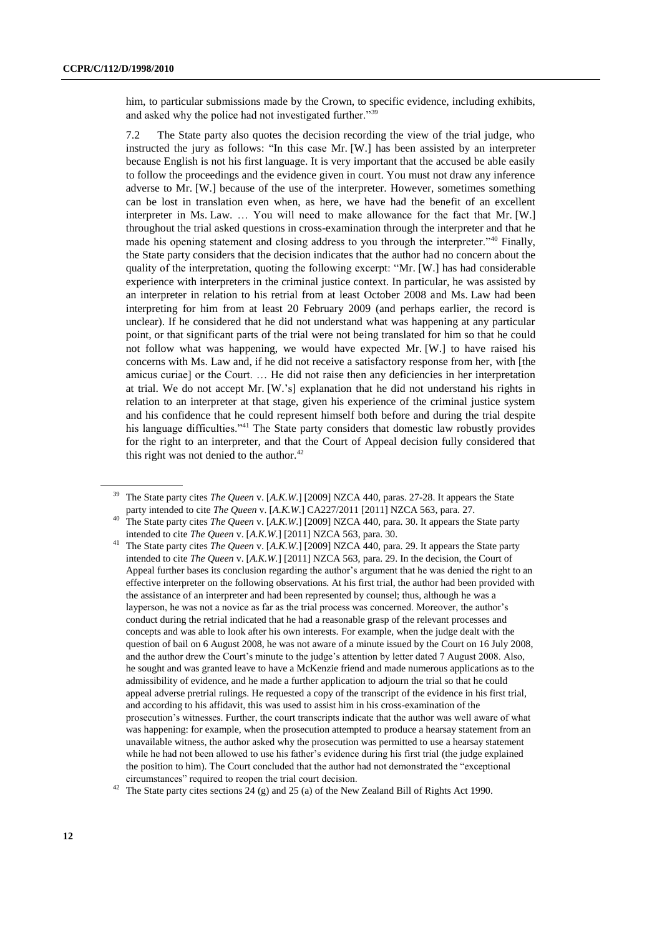him, to particular submissions made by the Crown, to specific evidence, including exhibits, and asked why the police had not investigated further."<sup>39</sup>

7.2 The State party also quotes the decision recording the view of the trial judge, who instructed the jury as follows: "In this case Mr. [W.] has been assisted by an interpreter because English is not his first language. It is very important that the accused be able easily to follow the proceedings and the evidence given in court. You must not draw any inference adverse to Mr. [W.] because of the use of the interpreter. However, sometimes something can be lost in translation even when, as here, we have had the benefit of an excellent interpreter in Ms. Law. … You will need to make allowance for the fact that Mr. [W.] throughout the trial asked questions in cross-examination through the interpreter and that he made his opening statement and closing address to you through the interpreter."<sup>40</sup> Finally, the State party considers that the decision indicates that the author had no concern about the quality of the interpretation, quoting the following excerpt: "Mr. [W.] has had considerable experience with interpreters in the criminal justice context. In particular, he was assisted by an interpreter in relation to his retrial from at least October 2008 and Ms. Law had been interpreting for him from at least 20 February 2009 (and perhaps earlier, the record is unclear). If he considered that he did not understand what was happening at any particular point, or that significant parts of the trial were not being translated for him so that he could not follow what was happening, we would have expected Mr. [W.] to have raised his concerns with Ms. Law and, if he did not receive a satisfactory response from her, with [the amicus curiae] or the Court. … He did not raise then any deficiencies in her interpretation at trial. We do not accept Mr. [W.'s] explanation that he did not understand his rights in relation to an interpreter at that stage, given his experience of the criminal justice system and his confidence that he could represent himself both before and during the trial despite his language difficulties."<sup>41</sup> The State party considers that domestic law robustly provides for the right to an interpreter, and that the Court of Appeal decision fully considered that this right was not denied to the author. $42$ 

<sup>39</sup> The State party cites *The Queen* v. [*A.K.W*.] [2009] NZCA 440, paras. 27-28. It appears the State party intended to cite *The Queen* v. [*A.K.W*.] CA227/2011 [2011] NZCA 563, para. 27.

<sup>40</sup> The State party cites *The Queen* v. [*A.K.W*.] [2009] NZCA 440, para. 30. It appears the State party intended to cite *The Queen* v. [*A.K.W*.] [2011] NZCA 563, para. 30.

<sup>41</sup> The State party cites *The Queen* v. [*A.K.W*.] [2009] NZCA 440, para. 29. It appears the State party intended to cite *The Queen* v. [*A.K.W.*] [2011] NZCA 563, para. 29. In the decision, the Court of Appeal further bases its conclusion regarding the author's argument that he was denied the right to an effective interpreter on the following observations. At his first trial, the author had been provided with the assistance of an interpreter and had been represented by counsel; thus, although he was a layperson, he was not a novice as far as the trial process was concerned. Moreover, the author's conduct during the retrial indicated that he had a reasonable grasp of the relevant processes and concepts and was able to look after his own interests. For example, when the judge dealt with the question of bail on 6 August 2008, he was not aware of a minute issued by the Court on 16 July 2008, and the author drew the Court's minute to the judge's attention by letter dated 7 August 2008. Also, he sought and was granted leave to have a McKenzie friend and made numerous applications as to the admissibility of evidence, and he made a further application to adjourn the trial so that he could appeal adverse pretrial rulings. He requested a copy of the transcript of the evidence in his first trial, and according to his affidavit, this was used to assist him in his cross-examination of the prosecution's witnesses. Further, the court transcripts indicate that the author was well aware of what was happening: for example, when the prosecution attempted to produce a hearsay statement from an unavailable witness, the author asked why the prosecution was permitted to use a hearsay statement while he had not been allowed to use his father's evidence during his first trial (the judge explained the position to him). The Court concluded that the author had not demonstrated the "exceptional circumstances" required to reopen the trial court decision.

<sup>&</sup>lt;sup>42</sup> The State party cites sections  $24$  (g) and  $25$  (a) of the New Zealand Bill of Rights Act 1990.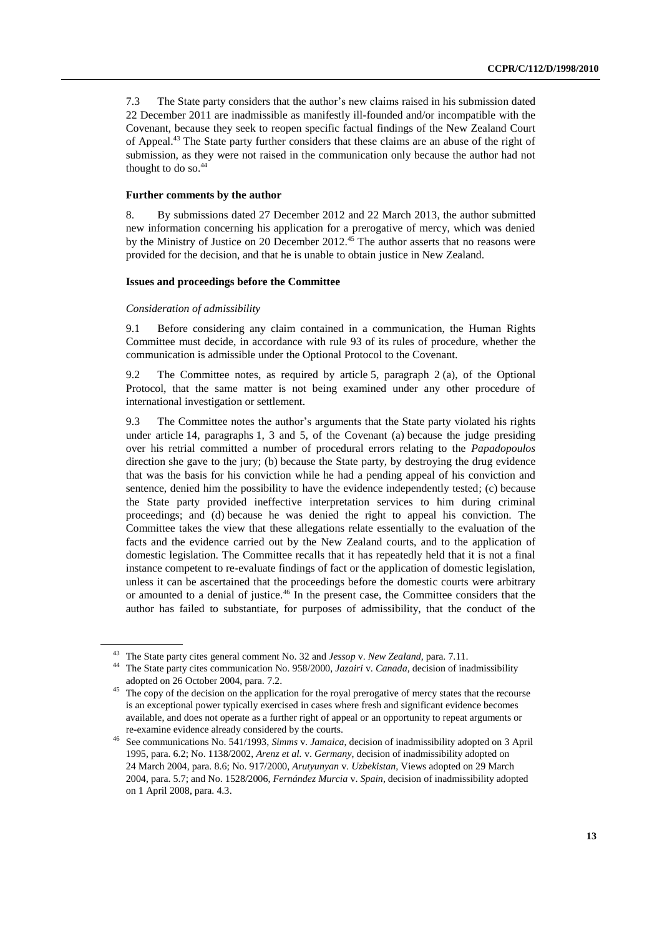7.3 The State party considers that the author's new claims raised in his submission dated 22 December 2011 are inadmissible as manifestly ill-founded and/or incompatible with the Covenant, because they seek to reopen specific factual findings of the New Zealand Court of Appeal.<sup>43</sup> The State party further considers that these claims are an abuse of the right of submission, as they were not raised in the communication only because the author had not thought to do so.<sup>44</sup>

### **Further comments by the author**

8. By submissions dated 27 December 2012 and 22 March 2013, the author submitted new information concerning his application for a prerogative of mercy, which was denied by the Ministry of Justice on 20 December  $2012<sup>45</sup>$  The author asserts that no reasons were provided for the decision, and that he is unable to obtain justice in New Zealand.

#### **Issues and proceedings before the Committee**

#### *Consideration of admissibility*

9.1 Before considering any claim contained in a communication, the Human Rights Committee must decide, in accordance with rule 93 of its rules of procedure, whether the communication is admissible under the Optional Protocol to the Covenant.

9.2 The Committee notes, as required by article 5, paragraph 2 (a), of the Optional Protocol, that the same matter is not being examined under any other procedure of international investigation or settlement.

9.3 The Committee notes the author's arguments that the State party violated his rights under article 14, paragraphs 1, 3 and 5, of the Covenant (a) because the judge presiding over his retrial committed a number of procedural errors relating to the *Papadopoulos* direction she gave to the jury; (b) because the State party, by destroying the drug evidence that was the basis for his conviction while he had a pending appeal of his conviction and sentence, denied him the possibility to have the evidence independently tested; (c) because the State party provided ineffective interpretation services to him during criminal proceedings; and (d) because he was denied the right to appeal his conviction. The Committee takes the view that these allegations relate essentially to the evaluation of the facts and the evidence carried out by the New Zealand courts, and to the application of domestic legislation. The Committee recalls that it has repeatedly held that it is not a final instance competent to re-evaluate findings of fact or the application of domestic legislation, unless it can be ascertained that the proceedings before the domestic courts were arbitrary or amounted to a denial of justice.<sup>46</sup> In the present case, the Committee considers that the author has failed to substantiate, for purposes of admissibility, that the conduct of the

<sup>&</sup>lt;sup>43</sup> The State party cites general comment No. 32 and *Jessop* v. *New Zealand*, para. 7.11.<br><sup>44</sup> The State party sites assumption No. 059/2000, *Japaining Cample* decision of in-

<sup>44</sup> The State party cites communication No. 958/2000, *Jazairi* v. *Canada*, decision of inadmissibility adopted on 26 October 2004, para. 7.2.

The copy of the decision on the application for the royal prerogative of mercy states that the recourse is an exceptional power typically exercised in cases where fresh and significant evidence becomes available, and does not operate as a further right of appeal or an opportunity to repeat arguments or re-examine evidence already considered by the courts.

<sup>46</sup> See communications No. 541/1993, *Simms* v. *Jamaica*, decision of inadmissibility adopted on 3 April 1995, para. 6.2; No. 1138/2002, *Arenz et al.* v. *Germany*, decision of inadmissibility adopted on 24 March 2004, para. 8.6; No. 917/2000, *Arutyunyan* v. *Uzbekistan*, Views adopted on 29 March 2004, para. 5.7; and No. 1528/2006, *Fernández Murcia* v. *Spain*, decision of inadmissibility adopted on 1 April 2008, para. 4.3.